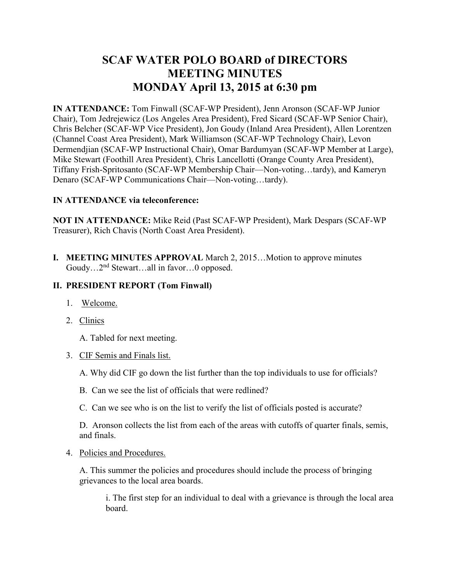# **SCAF WATER POLO BOARD of DIRECTORS MEETING MINUTES MONDAY April 13, 2015 at 6:30 pm**

**IN ATTENDANCE:** Tom Finwall (SCAF-WP President), Jenn Aronson (SCAF-WP Junior Chair), Tom Jedrejewicz (Los Angeles Area President), Fred Sicard (SCAF-WP Senior Chair), Chris Belcher (SCAF-WP Vice President), Jon Goudy (Inland Area President), Allen Lorentzen (Channel Coast Area President), Mark Williamson (SCAF-WP Technology Chair), Levon Dermendjian (SCAF-WP Instructional Chair), Omar Bardumyan (SCAF-WP Member at Large), Mike Stewart (Foothill Area President), Chris Lancellotti (Orange County Area President), Tiffany Frish-Spritosanto (SCAF-WP Membership Chair—Non-voting…tardy), and Kameryn Denaro (SCAF-WP Communications Chair—Non-voting…tardy).

# **IN ATTENDANCE via teleconference:**

**NOT IN ATTENDANCE:** Mike Reid (Past SCAF-WP President), Mark Despars (SCAF-WP Treasurer), Rich Chavis (North Coast Area President).

**I. MEETING MINUTES APPROVAL** March 2, 2015…Motion to approve minutes Goudy...2<sup>nd</sup> Stewart...all in favor...0 opposed.

### **II. PRESIDENT REPORT (Tom Finwall)**

- 1. Welcome.
- 2. Clinics

A. Tabled for next meeting.

- 3. CIF Semis and Finals list.
	- A. Why did CIF go down the list further than the top individuals to use for officials?
	- B. Can we see the list of officials that were redlined?
	- C. Can we see who is on the list to verify the list of officials posted is accurate?

D. Aronson collects the list from each of the areas with cutoffs of quarter finals, semis, and finals.

4. Policies and Procedures.

A. This summer the policies and procedures should include the process of bringing grievances to the local area boards.

 i. The first step for an individual to deal with a grievance is through the local area board.